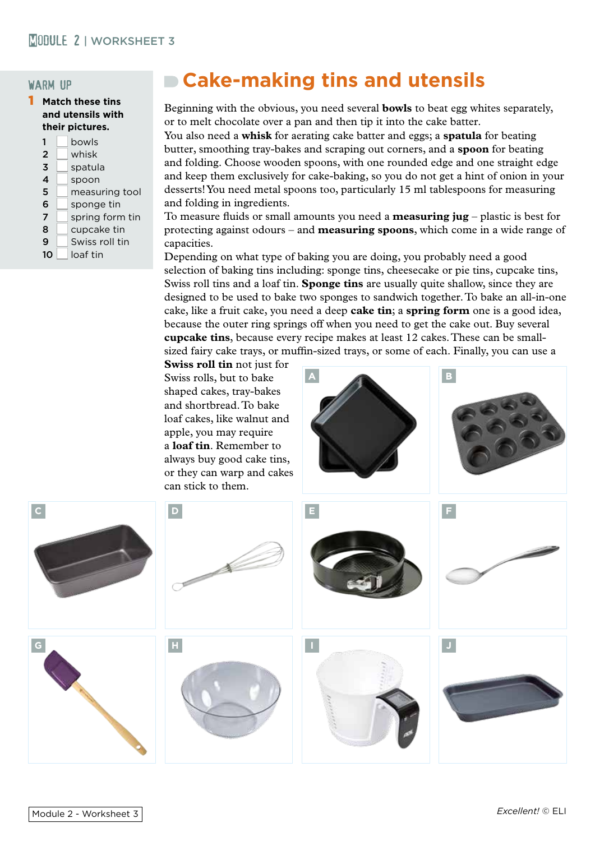## warm up

1 **Match these tins and utensils with their pictures.**

| 1              | bowls           |
|----------------|-----------------|
| $\overline{2}$ | whisk           |
| 3              | spatula         |
| 4              | spoon           |
| 5              | measuring tool  |
| 6              | sponge tin      |
| 7              | spring form tin |
| 8              | cupcake tin     |
| 9              | Swiss roll tin  |
| 10             | loaf tin        |
|                |                 |

## **Cake-making tins and utensils**

Beginning with the obvious, you need several **bowls** to beat egg whites separately, or to melt chocolate over a pan and then tip it into the cake batter.

You also need a **whisk** for aerating cake batter and eggs; a **spatula** for beating butter, smoothing tray-bakes and scraping out corners, and a **spoon** for beating and folding. Choose wooden spoons, with one rounded edge and one straight edge and keep them exclusively for cake-baking, so you do not get a hint of onion in your desserts! You need metal spoons too, particularly 15 ml tablespoons for measuring and folding in ingredients.

To measure fluids or small amounts you need a **measuring jug** – plastic is best for protecting against odours – and **measuring spoons**, which come in a wide range of capacities.

Depending on what type of baking you are doing, you probably need a good selection of baking tins including: sponge tins, cheesecake or pie tins, cupcake tins, Swiss roll tins and a loaf tin. **Sponge tins** are usually quite shallow, since they are designed to be used to bake two sponges to sandwich together. To bake an all-in-one cake, like a fruit cake, you need a deep **cake tin**; a **spring form** one is a good idea, because the outer ring springs off when you need to get the cake out. Buy several **cupcake tins**, because every recipe makes at least 12 cakes. These can be smallsized fairy cake trays, or muffin-sized trays, or some of each. Finally, you can use a

**Swiss roll tin** not just for Swiss rolls, but to bake shaped cakes, tray-bakes and shortbread. To bake loaf cakes, like walnut and apple, you may require a **loaf tin**. Remember to always buy good cake tins, or they can warp and cakes can stick to them.